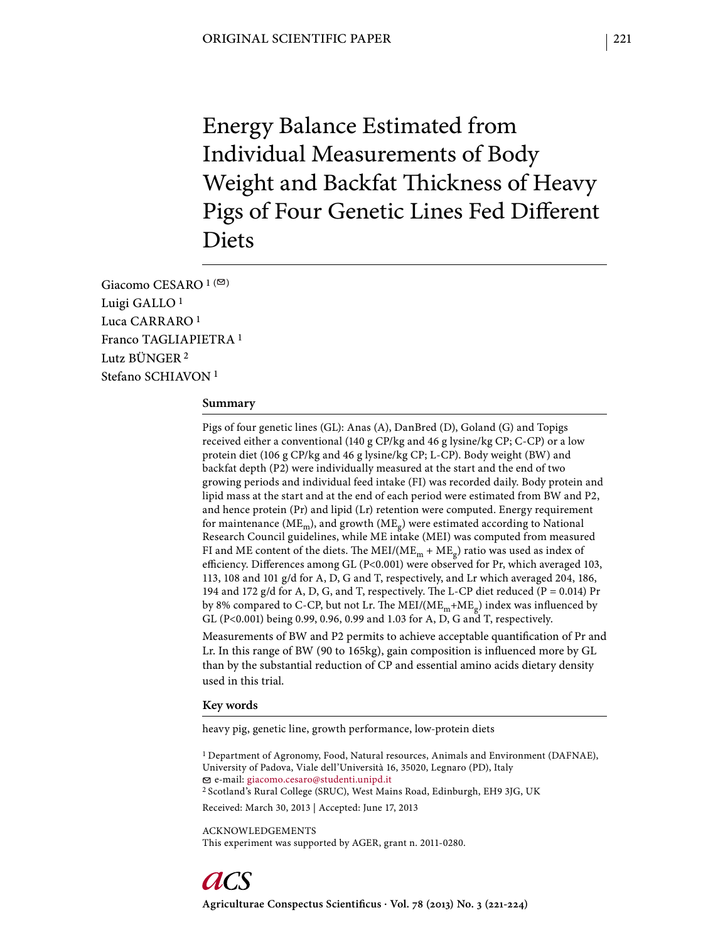Energy Balance Estimated from Individual Measurements of Body Weight and Backfat Thickness of Heavy Pigs of Four Genetic Lines Fed Different Diets

Giacomo CESARO 1<sup>(20)</sup> Luigi GALLO 1 Luca CARRARO 1 Franco TAGLIAPIETRA 1 Lutz BÜNGER 2 Stefano SCHIAVON<sup>1</sup>

#### **Summary**

Pigs of four genetic lines (GL): Anas (A), DanBred (D), Goland (G) and Topigs received either a conventional (140 g CP/kg and 46 g lysine/kg CP; C-CP) or a low protein diet (106 g CP/kg and 46 g lysine/kg CP; L-CP). Body weight (BW) and backfat depth (P2) were individually measured at the start and the end of two growing periods and individual feed intake (FI) was recorded daily. Body protein and lipid mass at the start and at the end of each period were estimated from BW and P2, and hence protein (Pr) and lipid (Lr) retention were computed. Energy requirement for maintenance ( $ME<sub>m</sub>$ ), and growth ( $ME<sub>g</sub>$ ) were estimated according to National Research Council guidelines, while ME intake (MEI) was computed from measured FI and ME content of the diets. The MEI/( $ME_m + ME_g$ ) ratio was used as index of efficiency. Differences among GL (P<0.001) were observed for Pr, which averaged 103, 113, 108 and 101 g/d for A, D, G and T, respectively, and Lr which averaged 204, 186, 194 and 172 g/d for A, D, G, and T, respectively. The L-CP diet reduced (P = 0.014) Pr by 8% compared to C-CP, but not Lr. The MEI/( $ME_m + ME_g$ ) index was influenced by GL (P<0.001) being 0.99, 0.96, 0.99 and 1.03 for A, D, G and T, respectively.

Measurements of BW and P2 permits to achieve acceptable quantification of Pr and Lr. In this range of BW (90 to 165kg), gain composition is influenced more by GL than by the substantial reduction of CP and essential amino acids dietary density used in this trial.

#### **Key words**

heavy pig, genetic line, growth performance, low-protein diets

1 Department of Agronomy, Food, Natural resources, Animals and Environment (DAFNAE), University of Padova, Viale dell'Università 16, 35020, Legnaro (PD), Italy e-mail: giacomo.cesaro@studenti.unipd.it 2 Scotland's Rural College (SRUC), West Mains Road, Edinburgh, EH9 3JG, UK Received: March 30, 2013 | Accepted: June 17, 2013

ACKNOWLEDGEMENTS This experiment was supported by AGER, grant n. 2011-0280.

Agriculturae Conspectus Scientificus · Vol. 78 (2013) No. 3 (221-224)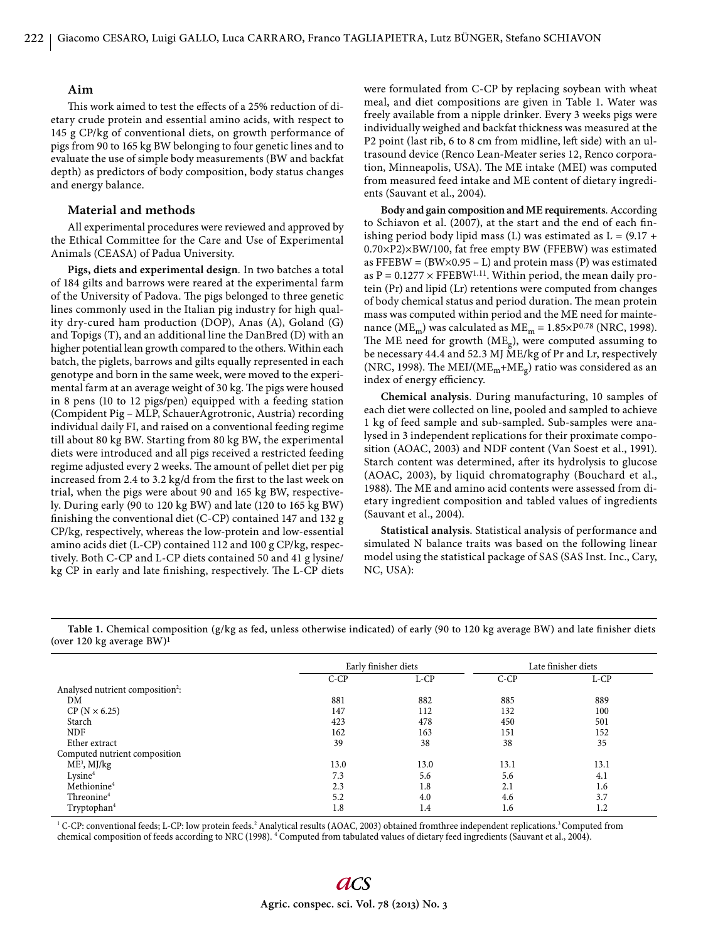## **Aim**

This work aimed to test the effects of a 25% reduction of dietary crude protein and essential amino acids, with respect to 145 g CP/kg of conventional diets, on growth performance of pigs from 90 to 165 kg BW belonging to four genetic lines and to evaluate the use of simple body measurements (BW and backfat depth) as predictors of body composition, body status changes and energy balance.

### **Material and methods**

All experimental procedures were reviewed and approved by the Ethical Committee for the Care and Use of Experimental Animals (CEASA) of Padua University.

**Pigs, diets and experimental design***.* In two batches a total of 184 gilts and barrows were reared at the experimental farm of the University of Padova. The pigs belonged to three genetic lines commonly used in the Italian pig industry for high quality dry-cured ham production (DOP), Anas (A), Goland (G) and Topigs (T), and an additional line the DanBred (D) with an higher potential lean growth compared to the others. Within each batch, the piglets, barrows and gilts equally represented in each genotype and born in the same week, were moved to the experimental farm at an average weight of 30 kg. The pigs were housed in 8 pens (10 to 12 pigs/pen) equipped with a feeding station (Compident Pig – MLP, SchauerAgrotronic, Austria) recording individual daily FI, and raised on a conventional feeding regime till about 80 kg BW. Starting from 80 kg BW, the experimental diets were introduced and all pigs received a restricted feeding regime adjusted every 2 weeks. The amount of pellet diet per pig increased from 2.4 to 3.2 kg/d from the first to the last week on trial, when the pigs were about 90 and 165 kg BW, respectively. During early (90 to 120 kg BW) and late (120 to 165 kg BW) finishing the conventional diet (C-CP) contained  $147$  and  $132$  g CP/kg, respectively, whereas the low-protein and low-essential amino acids diet (L-CP) contained 112 and 100 g CP/kg, respectively. Both C-CP and L-CP diets contained 50 and 41 g lysine/ kg CP in early and late finishing, respectively. The L-CP diets were formulated from C-CP by replacing soybean with wheat meal, and diet compositions are given in Table 1. Water was freely available from a nipple drinker. Every 3 weeks pigs were individually weighed and backfat thickness was measured at the P2 point (last rib, 6 to 8 cm from midline, left side) with an ultrasound device (Renco Lean-Meater series 12, Renco corporation, Minneapolis, USA). The ME intake (MEI) was computed from measured feed intake and ME content of dietary ingredients (Sauvant et al., 2004).

**Body and gain composition and ME requirements***.* According to Schiavon et al. (2007), at the start and the end of each finishing period body lipid mass (L) was estimated as  $L = (9.17 +$ 0.70×P2)×BW/100, fat free empty BW (FFEBW) was estimated as  $\text{FFEBW} = (\text{BW} \times 0.95 - \text{L})$  and protein mass (P) was estimated as  $P = 0.1277 \times FFEBW^{1.11}$ . Within period, the mean daily protein (Pr) and lipid (Lr) retentions were computed from changes of body chemical status and period duration. The mean protein mass was computed within period and the ME need for maintenance (ME<sub>m</sub>) was calculated as ME<sub>m</sub> =  $1.85 \times P^{0.78}$  (NRC, 1998). The ME need for growth  $(ME_{q})$ , were computed assuming to be necessary 44.4 and 52.3 MJ ME/kg of Pr and Lr, respectively (NRC, 1998). The MEI/( $ME_m + ME_g$ ) ratio was considered as an index of energy efficiency.

**Chemical analysis**. During manufacturing, 10 samples of each diet were collected on line, pooled and sampled to achieve 1 kg of feed sample and sub-sampled. Sub-samples were analysed in 3 independent replications for their proximate composition (AOAC, 2003) and NDF content (Van Soest et al., 1991). Starch content was determined, after its hydrolysis to glucose (AOAC, 2003), by liquid chromatography (Bouchard et al., 1988). The ME and amino acid contents were assessed from dietary ingredient composition and tabled values of ingredients (Sauvant et al., 2004).

**Statistical analysis**. Statistical analysis of performance and simulated N balance traits was based on the following linear model using the statistical package of SAS (SAS Inst. Inc., Cary, NC, USA):

|                                              |        | Early finisher diets | Late finisher diets |         |  |
|----------------------------------------------|--------|----------------------|---------------------|---------|--|
|                                              | $C-CP$ | L-CP                 | $C-CP$              | $L$ -CP |  |
| Analysed nutrient composition <sup>2</sup> : |        |                      |                     |         |  |
| DM                                           | 881    | 882                  | 885                 | 889     |  |
| $CP (N \times 6.25)$                         | 147    | 112                  | 132                 | 100     |  |
| Starch                                       | 423    | 478                  | 450                 | 501     |  |
| <b>NDF</b>                                   | 162    | 163                  | 151                 | 152     |  |
| Ether extract                                | 39     | 38                   | 38                  | 35      |  |
| Computed nutrient composition                |        |                      |                     |         |  |
| $ME3$ , MJ/kg                                | 13.0   | 13.0                 | 13.1                | 13.1    |  |
| Lysine <sup>4</sup>                          | 7.3    | 5.6                  | 5.6                 | 4.1     |  |
| Methionine <sup>4</sup>                      | 2.3    | 1.8                  | 2.1                 | 1.6     |  |
| Threonine <sup>4</sup>                       | 5.2    | 4.0                  | 4.6                 | 3.7     |  |
| Tryptophan <sup>4</sup>                      | 1.8    | 1.4                  | 1.6                 | 1.2     |  |

Table 1. Chemical composition (g/kg as fed, unless otherwise indicated) of early (90 to 120 kg average BW) and late finisher diets (over 120 kg average BW)1

<sup>1</sup> C-CP: conventional feeds; L-CP: low protein feeds.<sup>2</sup> Analytical results (AOAC, 2003) obtained fromthree independent replications.<sup>3</sup> Computed from chemical composition of feeds according to NRC (1998). 4 Computed from tabulated values of dietary feed ingredients (Sauvant et al., 2004).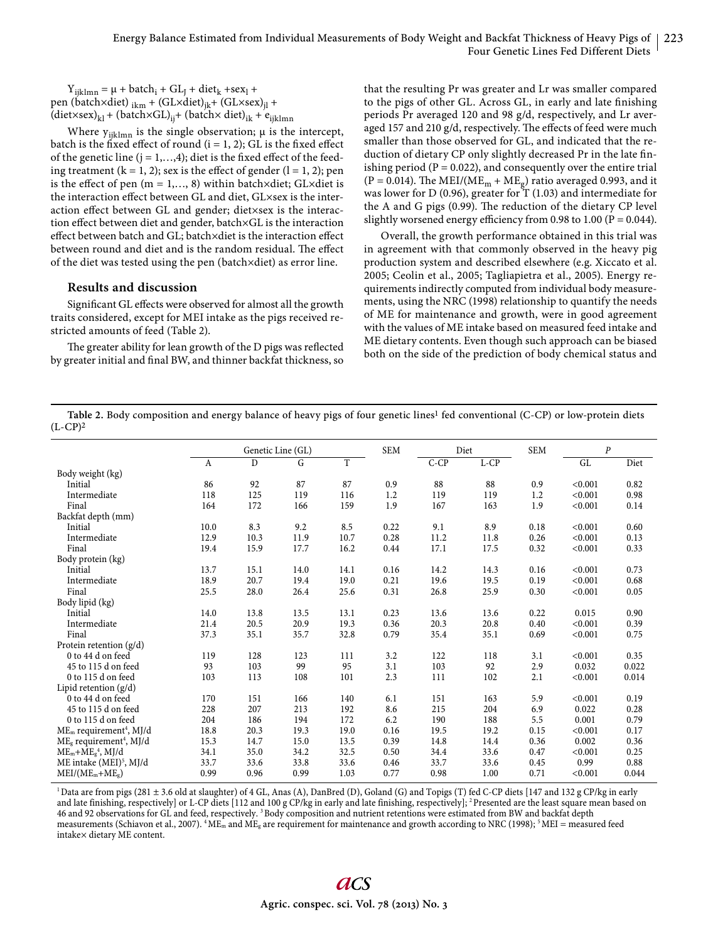$Y_{ijklmn} = \mu + \text{batch}_i + \text{GL}_J + \text{dict}_k + \text{sex}_l +$ pen (batch×diet)  $_{ikm}$  + (GL×diet)<sub>ik</sub>+ (GL×sex)<sub>il</sub> +  $(\text{dist}\times\text{sex})_{kl} + (\text{batch}\times\text{GL})_{ij} + (\text{batch}\times\text{diet})_{ik} + \epsilon_{ijklmn}$ 

Where  $y_{ijklmn}$  is the single observation;  $\mu$  is the intercept, batch is the fixed effect of round  $(i = 1, 2)$ ; GL is the fixed effect of the genetic line ( $j = 1, \ldots, 4$ ); diet is the fixed effect of the feeding treatment ( $k = 1, 2$ ); sex is the effect of gender ( $l = 1, 2$ ); pen is the effect of pen (m = 1,..., 8) within batch×diet; GL×diet is the interaction effect between GL and diet, GL×sex is the interaction effect between GL and gender; diet×sex is the interaction effect between diet and gender, batch×GL is the interaction effect between batch and GL; batch×diet is the interaction effect between round and diet and is the random residual. The effect of the diet was tested using the pen (batch×diet) as error line.

# **Results and discussion**

Significant GL effects were observed for almost all the growth traits considered, except for MEI intake as the pigs received restricted amounts of feed (Table 2).

The greater ability for lean growth of the D pigs was reflected by greater initial and final BW, and thinner backfat thickness, so

that the resulting Pr was greater and Lr was smaller compared to the pigs of other GL. Across GL, in early and late finishing periods Pr averaged 120 and 98 g/d, respectively, and Lr averaged 157 and 210 g/d, respectively. The effects of feed were much smaller than those observed for GL, and indicated that the reduction of dietary CP only slightly decreased Pr in the late finishing period ( $P = 0.022$ ), and consequently over the entire trial (P = 0.014). The MEI/(ME<sub>m</sub> + ME<sub>g</sub>) ratio averaged 0.993, and it was lower for D (0.96), greater for T (1.03) and intermediate for the A and G pigs  $(0.99)$ . The reduction of the dietary CP level slightly worsened energy efficiency from 0.98 to 1.00 ( $P = 0.044$ ).

Overall, the growth performance obtained in this trial was in agreement with that commonly observed in the heavy pig production system and described elsewhere (e.g. Xiccato et al. 2005; Ceolin et al., 2005; Tagliapietra et al., 2005). Energy requirements indirectly computed from individual body measurements, using the NRC (1998) relationship to quantify the needs of ME for maintenance and growth, were in good agreement with the values of ME intake based on measured feed intake and ME dietary contents. Even though such approach can be biased both on the side of the prediction of body chemical status and

Table 2. Body composition and energy balance of heavy pigs of four genetic lines<sup>1</sup> fed conventional (C-CP) or low-protein diets  $(L-CP)<sup>2</sup>$ 

|                                                 | Genetic Line (GL) |      |      | <b>SEM</b> |      | Diet   | <b>SEM</b> | $\boldsymbol{P}$ |         |       |
|-------------------------------------------------|-------------------|------|------|------------|------|--------|------------|------------------|---------|-------|
|                                                 | A                 | D    | G    | T          |      | $C-CP$ | $L-CP$     |                  | GL      | Diet  |
| Body weight (kg)                                |                   |      |      |            |      |        |            |                  |         |       |
| Initial                                         | 86                | 92   | 87   | 87         | 0.9  | 88     | 88         | 0.9              | < 0.001 | 0.82  |
| Intermediate                                    | 118               | 125  | 119  | 116        | 1.2  | 119    | 119        | 1.2              | < 0.001 | 0.98  |
| Final                                           | 164               | 172  | 166  | 159        | 1.9  | 167    | 163        | 1.9              | < 0.001 | 0.14  |
| Backfat depth (mm)                              |                   |      |      |            |      |        |            |                  |         |       |
| Initial                                         | 10.0              | 8.3  | 9.2  | 8.5        | 0.22 | 9.1    | 8.9        | 0.18             | < 0.001 | 0.60  |
| Intermediate                                    | 12.9              | 10.3 | 11.9 | 10.7       | 0.28 | 11.2   | 11.8       | 0.26             | < 0.001 | 0.13  |
| Final                                           | 19.4              | 15.9 | 17.7 | 16.2       | 0.44 | 17.1   | 17.5       | 0.32             | < 0.001 | 0.33  |
| Body protein (kg)                               |                   |      |      |            |      |        |            |                  |         |       |
| Initial                                         | 13.7              | 15.1 | 14.0 | 14.1       | 0.16 | 14.2   | 14.3       | 0.16             | < 0.001 | 0.73  |
| Intermediate                                    | 18.9              | 20.7 | 19.4 | 19.0       | 0.21 | 19.6   | 19.5       | 0.19             | < 0.001 | 0.68  |
| Final                                           | 25.5              | 28.0 | 26.4 | 25.6       | 0.31 | 26.8   | 25.9       | 0.30             | < 0.001 | 0.05  |
| Body lipid (kg)                                 |                   |      |      |            |      |        |            |                  |         |       |
| Initial                                         | 14.0              | 13.8 | 13.5 | 13.1       | 0.23 | 13.6   | 13.6       | 0.22             | 0.015   | 0.90  |
| Intermediate                                    | 21.4              | 20.5 | 20.9 | 19.3       | 0.36 | 20.3   | 20.8       | 0.40             | < 0.001 | 0.39  |
| Final                                           | 37.3              | 35.1 | 35.7 | 32.8       | 0.79 | 35.4   | 35.1       | 0.69             | < 0.001 | 0.75  |
| Protein retention $(g/d)$                       |                   |      |      |            |      |        |            |                  |         |       |
| 0 to 44 d on feed                               | 119               | 128  | 123  | 111        | 3.2  | 122    | 118        | 3.1              | < 0.001 | 0.35  |
| 45 to 115 d on feed                             | 93                | 103  | 99   | 95         | 3.1  | 103    | 92         | 2.9              | 0.032   | 0.022 |
| 0 to 115 d on feed                              | 103               | 113  | 108  | 101        | 2.3  | 111    | 102        | 2.1              | < 0.001 | 0.014 |
| Lipid retention $(g/d)$                         |                   |      |      |            |      |        |            |                  |         |       |
| 0 to 44 d on feed                               | 170               | 151  | 166  | 140        | 6.1  | 151    | 163        | 5.9              | < 0.001 | 0.19  |
| 45 to 115 d on feed                             | 228               | 207  | 213  | 192        | 8.6  | 215    | 204        | 6.9              | 0.022   | 0.28  |
| 0 to 115 d on feed                              | 204               | 186  | 194  | 172        | 6.2  | 190    | 188        | 5.5              | 0.001   | 0.79  |
| ME <sub>m</sub> requirement <sup>4</sup> , MJ/d | 18.8              | 20.3 | 19.3 | 19.0       | 0.16 | 19.5   | 19.2       | 0.15             | < 0.001 | 0.17  |
| $MEg$ requirement <sup>4</sup> , MJ/d           | 15.3              | 14.7 | 15.0 | 13.5       | 0.39 | 14.8   | 14.4       | 0.36             | 0.002   | 0.36  |
| $ME_m + ME_g^4$ , MJ/d                          | 34.1              | 35.0 | 34.2 | 32.5       | 0.50 | 34.4   | 33.6       | 0.47             | < 0.001 | 0.25  |
| ME intake (MEI) <sup>5</sup> , MJ/d             | 33.7              | 33.6 | 33.8 | 33.6       | 0.46 | 33.7   | 33.6       | 0.45             | 0.99    | 0.88  |
| $MEI/(MEm+MEg)$                                 | 0.99              | 0.96 | 0.99 | 1.03       | 0.77 | 0.98   | 1.00       | 0.71             | < 0.001 | 0.044 |

1 Data are from pigs (281 ± 3.6 old at slaughter) of 4 GL, Anas (A), DanBred (D), Goland (G) and Topigs (T) fed C-CP diets [147 and 132 g CP/kg in early and late finishing, respectively] or L-CP diets [112 and 100 g CP/kg in early and late finishing, respectively]; <sup>2</sup> Presented are the least square mean based on 46 and 92 observations for GL and feed, respectively. 3 Body composition and nutrient retentions were estimated from BW and backfat depth measurements (Schiavon et al., 2007).  ${}^4$ ME<sub>m</sub> and ME<sub>g</sub> are requirement for maintenance and growth according to NRC (1998);  ${}^5$ MEI = measured feed intake× dietary ME content.